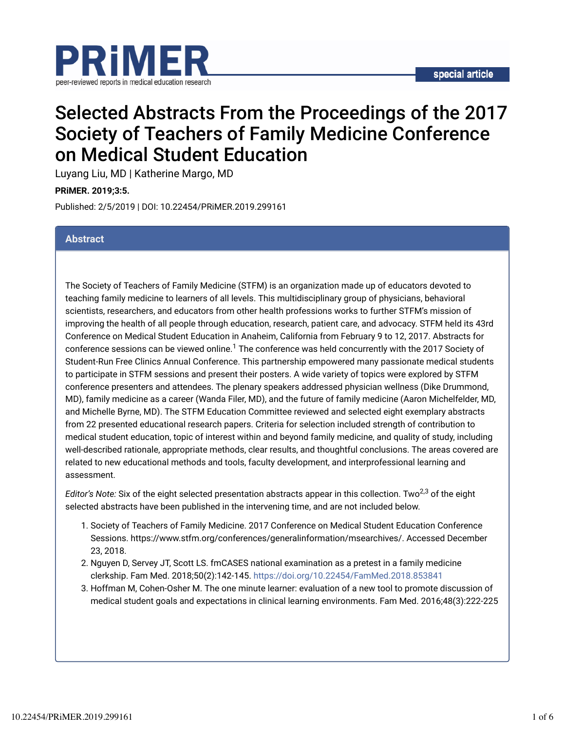



# Selected Abstracts From the Proceedings of the 2017 Society of Teachers of Family Medicine Conference on Medical Student Education

Luyang Liu, MD | Katherine Margo, MD

**PRiMER. 2019;3:5.**

Published: 2/5/2019 | DOI: 10.22454/PRiMER.2019.299161

### **Abstract**

The Society of Teachers of Family Medicine (STFM) is an organization made up of educators devoted to teaching family medicine to learners of all levels. This multidisciplinary group of physicians, behavioral scientists, researchers, and educators from other health professions works to further STFM's mission of improving the health of all people through education, research, patient care, and advocacy. STFM held its 43rd Conference on Medical Student Education in Anaheim, California from February 9 to 12, 2017. Abstracts for conference sessions can be viewed online. $1$  The conference was held concurrently with the 2017 Society of Student-Run Free Clinics Annual Conference. This partnership empowered many passionate medical students to participate in STFM sessions and present their posters. A wide variety of topics were explored by STFM conference presenters and attendees. The plenary speakers addressed physician wellness (Dike Drummond, MD), family medicine as a career (Wanda Filer, MD), and the future of family medicine (Aaron Michelfelder, MD, and Michelle Byrne, MD). The STFM Education Committee reviewed and selected eight exemplary abstracts from 22 presented educational research papers. Criteria for selection included strength of contribution to medical student education, topic of interest within and beyond family medicine, and quality of study, including well-described rationale, appropriate methods, clear results, and thoughtful conclusions. The areas covered are related to new educational methods and tools, faculty development, and interprofessional learning and assessment.

*Editor's Note: Six of the eight selected presentation abstracts appear in this collection. Two<sup>2,3</sup> of the eight* selected abstracts have been published in the intervening time, and are not included below.

- 1. Society of Teachers of Family Medicine. 2017 Conference on Medical Student Education Conference Sessions. https://www.stfm.org/conferences/generalinformation/msearchives/. Accessed December 23, 2018.
- 2. Nguyen D, Servey JT, Scott LS. fmCASES national examination as a pretest in a family medicine clerkship. Fam Med. 2018;50(2):142-145. https://doi.org/10.22454/FamMed.2018.853841
- 3. Hoffman M, Cohen-Osher M. The one minute learner: evaluation of a new tool to promote discussion of medical student goals and expectations in clinical learning environments. Fam Med. 2016;48(3):222-225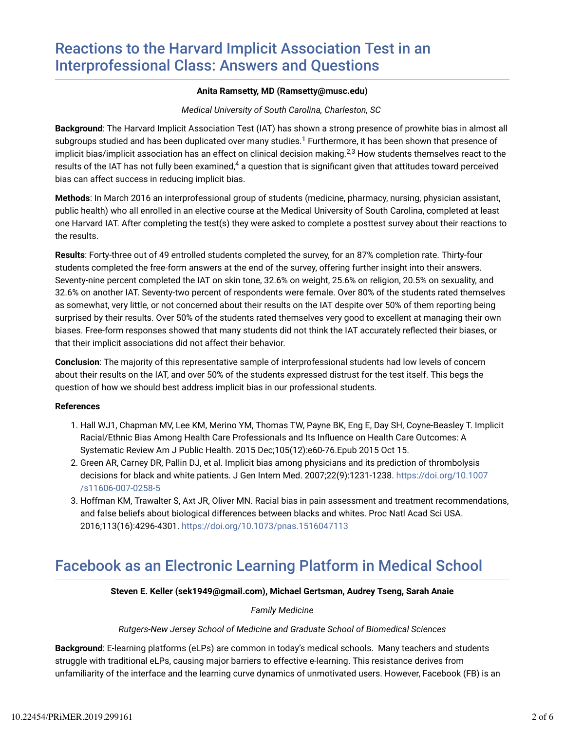### **Anita Ramsetty, MD (Ramsetty@musc.edu)**

### *Medical University of South Carolina, Charleston, SC*

**Background**: The Harvard Implicit Association Test (IAT) has shown a strong presence of prowhite bias in almost all subgroups studied and has been duplicated over many studies. $^1$  Furthermore, it has been shown that presence of implicit bias/implicit association has an effect on clinical decision making. $^{2,3}$  How students themselves react to the results of the IAT has not fully been examined, $^4$  a question that is significant given that attitudes toward perceived bias can affect success in reducing implicit bias.

**Methods**: In March 2016 an interprofessional group of students (medicine, pharmacy, nursing, physician assistant, public health) who all enrolled in an elective course at the Medical University of South Carolina, completed at least one Harvard IAT. After completing the test(s) they were asked to complete a posttest survey about their reactions to the results.

**Results**: Forty-three out of 49 entrolled students completed the survey, for an 87% completion rate. Thirty-four students completed the free-form answers at the end of the survey, offering further insight into their answers. Seventy-nine percent completed the IAT on skin tone, 32.6% on weight, 25.6% on religion, 20.5% on sexuality, and 32.6% on another IAT. Seventy-two percent of respondents were female. Over 80% of the students rated themselves as somewhat, very little, or not concerned about their results on the IAT despite over 50% of them reporting being surprised by their results. Over 50% of the students rated themselves very good to excellent at managing their own biases. Free-form responses showed that many students did not think the IAT accurately refected their biases, or that their implicit associations did not affect their behavior.

**Conclusion**: The majority of this representative sample of interprofessional students had low levels of concern about their results on the IAT, and over 50% of the students expressed distrust for the test itself. This begs the question of how we should best address implicit bias in our professional students.

### **References**

- 1. Hall WJ1, Chapman MV, Lee KM, Merino YM, Thomas TW, Payne BK, Eng E, Day SH, Coyne-Beasley T. Implicit Racial/Ethnic Bias Among Health Care Professionals and Its Infuence on Health Care Outcomes: A Systematic Review Am J Public Health. 2015 Dec;105(12):e60-76.Epub 2015 Oct 15.
- 2. Green AR, Carney DR, Pallin DJ, et al. Implicit bias among physicians and its prediction of thrombolysis decisions for black and white patients. J Gen Intern Med. 2007;22(9):1231-1238. https://doi.org/10.1007 /s11606-007-0258-5
- 3. Hoffman KM, Trawalter S, Axt JR, Oliver MN. Racial bias in pain assessment and treatment recommendations, and false beliefs about biological differences between blacks and whites. Proc Natl Acad Sci USA. 2016;113(16):4296-4301. https://doi.org/10.1073/pnas.1516047113

# Facebook as an Electronic Learning Platform in Medical School

### **Steven E. Keller (sek1949@gmail.com), Michael Gertsman, Audrey Tseng, Sarah Anaie**

### *Family Medicine*

### *Rutgers-New Jersey School of Medicine and Graduate School of Biomedical Sciences*

**Background**: E-learning platforms (eLPs) are common in today's medical schools. Many teachers and students struggle with traditional eLPs, causing major barriers to effective e-learning. This resistance derives from unfamiliarity of the interface and the learning curve dynamics of unmotivated users. However, Facebook (FB) is an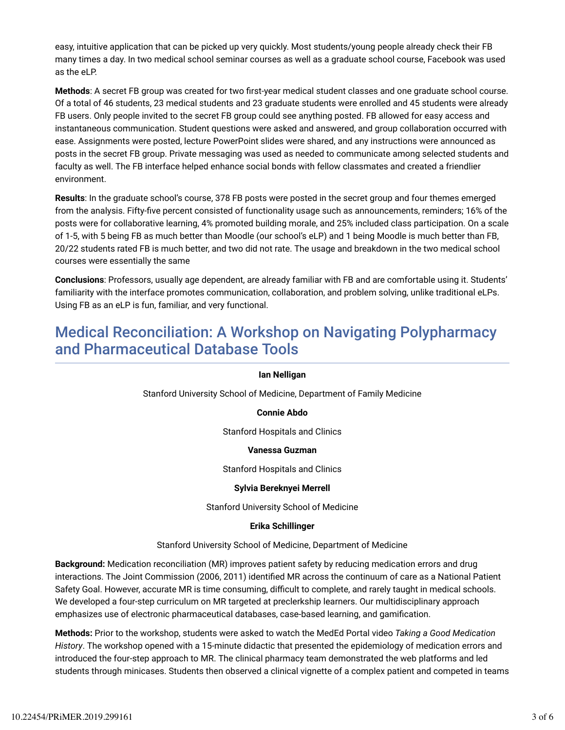easy, intuitive application that can be picked up very quickly. Most students/young people already check their FB many times a day. In two medical school seminar courses as well as a graduate school course, Facebook was used as the eLP.

Methods: A secret FB group was created for two first-year medical student classes and one graduate school course. Of a total of 46 students, 23 medical students and 23 graduate students were enrolled and 45 students were already FB users. Only people invited to the secret FB group could see anything posted. FB allowed for easy access and instantaneous communication. Student questions were asked and answered, and group collaboration occurred with ease. Assignments were posted, lecture PowerPoint slides were shared, and any instructions were announced as posts in the secret FB group. Private messaging was used as needed to communicate among selected students and faculty as well. The FB interface helped enhance social bonds with fellow classmates and created a friendlier environment.

**Results**: In the graduate school's course, 378 FB posts were posted in the secret group and four themes emerged from the analysis. Fifty-five percent consisted of functionality usage such as announcements, reminders; 16% of the posts were for collaborative learning, 4% promoted building morale, and 25% included class participation. On a scale of 1-5, with 5 being FB as much better than Moodle (our school's eLP) and 1 being Moodle is much better than FB, 20/22 students rated FB is much better, and two did not rate. The usage and breakdown in the two medical school courses were essentially the same

**Conclusions**: Professors, usually age dependent, are already familiar with FB and are comfortable using it. Students' familiarity with the interface promotes communication, collaboration, and problem solving, unlike traditional eLPs. Using FB as an eLP is fun, familiar, and very functional.

## Medical Reconciliation: A Workshop on Navigating Polypharmacy and Pharmaceutical Database Tools

### **Ian Nelligan**

Stanford University School of Medicine, Department of Family Medicine

### **Connie Abdo**

Stanford Hospitals and Clinics

#### **Vanessa Guzman**

Stanford Hospitals and Clinics

#### **Sylvia Bereknyei Merrell**

Stanford University School of Medicine

#### **Erika Schillinger**

Stanford University School of Medicine, Department of Medicine

**Background:** Medication reconciliation (MR) improves patient safety by reducing medication errors and drug interactions. The Joint Commission (2006, 2011) identified MR across the continuum of care as a National Patient Safety Goal. However, accurate MR is time consuming, difficult to complete, and rarely taught in medical schools. We developed a four-step curriculum on MR targeted at preclerkship learners. Our multidisciplinary approach emphasizes use of electronic pharmaceutical databases, case-based learning, and gamification.

**Methods:** Prior to the workshop, students were asked to watch the MedEd Portal video *Taking a Good Medication History*. The workshop opened with a 15-minute didactic that presented the epidemiology of medication errors and introduced the four-step approach to MR. The clinical pharmacy team demonstrated the web platforms and led students through minicases. Students then observed a clinical vignette of a complex patient and competed in teams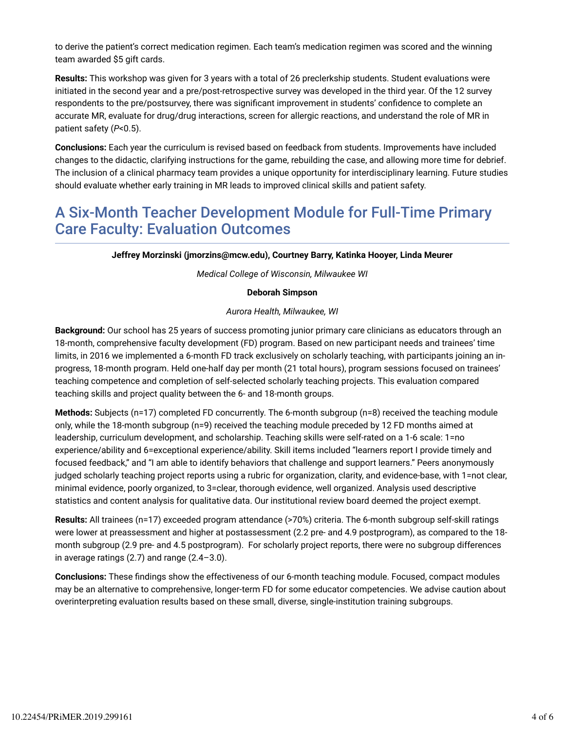to derive the patient's correct medication regimen. Each team's medication regimen was scored and the winning team awarded \$5 gift cards.

**Results:** This workshop was given for 3 years with a total of 26 preclerkship students. Student evaluations were initiated in the second year and a pre/post-retrospective survey was developed in the third year. Of the 12 survey respondents to the pre/postsurvey, there was significant improvement in students' confidence to complete an accurate MR, evaluate for drug/drug interactions, screen for allergic reactions, and understand the role of MR in patient safety (*P*<0.5).

**Conclusions:** Each year the curriculum is revised based on feedback from students. Improvements have included changes to the didactic, clarifying instructions for the game, rebuilding the case, and allowing more time for debrief. The inclusion of a clinical pharmacy team provides a unique opportunity for interdisciplinary learning. Future studies should evaluate whether early training in MR leads to improved clinical skills and patient safety.

## A Six-Month Teacher Development Module for Full-Time Primary Care Faculty: Evaluation Outcomes

**Jeffrey Morzinski (jmorzins@mcw.edu), Courtney Barry, Katinka Hooyer, Linda Meurer**

*Medical College of Wisconsin, Milwaukee WI*

### **Deborah Simpson**

*Aurora Health, Milwaukee, WI*

**Background:** Our school has 25 years of success promoting junior primary care clinicians as educators through an 18-month, comprehensive faculty development (FD) program. Based on new participant needs and trainees' time limits, in 2016 we implemented a 6-month FD track exclusively on scholarly teaching, with participants joining an inprogress, 18-month program. Held one-half day per month (21 total hours), program sessions focused on trainees' teaching competence and completion of self-selected scholarly teaching projects. This evaluation compared teaching skills and project quality between the 6- and 18-month groups.

**Methods:** Subjects (n=17) completed FD concurrently. The 6-month subgroup (n=8) received the teaching module only, while the 18-month subgroup (n=9) received the teaching module preceded by 12 FD months aimed at leadership, curriculum development, and scholarship. Teaching skills were self-rated on a 1-6 scale: 1=no experience/ability and 6=exceptional experience/ability. Skill items included "learners report I provide timely and focused feedback," and "I am able to identify behaviors that challenge and support learners." Peers anonymously judged scholarly teaching project reports using a rubric for organization, clarity, and evidence-base, with 1=not clear, minimal evidence, poorly organized, to 3=clear, thorough evidence, well organized. Analysis used descriptive statistics and content analysis for qualitative data. Our institutional review board deemed the project exempt.

**Results:** All trainees (n=17) exceeded program attendance (>70%) criteria. The 6-month subgroup self-skill ratings were lower at preassessment and higher at postassessment (2.2 pre- and 4.9 postprogram), as compared to the 18 month subgroup (2.9 pre- and 4.5 postprogram). For scholarly project reports, there were no subgroup differences in average ratings (2.7) and range (2.4–3.0).

**Conclusions:** These findings show the effectiveness of our 6-month teaching module. Focused, compact modules may be an alternative to comprehensive, longer-term FD for some educator competencies. We advise caution about overinterpreting evaluation results based on these small, diverse, single-institution training subgroups.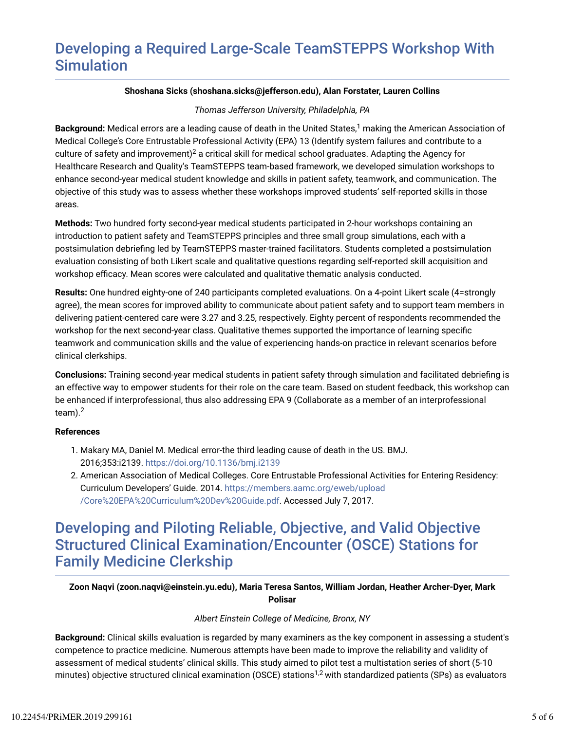# Developing a Required Large-Scale TeamSTEPPS Workshop With **Simulation**

### **Shoshana Sicks (shoshana.sicks@jefferson.edu), Alan Forstater, Lauren Collins**

### *Thomas Jefferson University, Philadelphia, PA*

**Background:** Medical errors are a leading cause of death in the United States,<sup>1</sup> making the American Association of Medical College's Core Entrustable Professional Activity (EPA) 13 (Identify system failures and contribute to a culture of safety and improvement) $^2$  a critical skill for medical school graduates. Adapting the Agency for Healthcare Research and Quality's TeamSTEPPS team-based framework, we developed simulation workshops to enhance second-year medical student knowledge and skills in patient safety, teamwork, and communication. The objective of this study was to assess whether these workshops improved students' self-reported skills in those areas.

**Methods:** Two hundred forty second-year medical students participated in 2-hour workshops containing an introduction to patient safety and TeamSTEPPS principles and three small group simulations, each with a postsimulation debriefing led by TeamSTEPPS master-trained facilitators. Students completed a postsimulation evaluation consisting of both Likert scale and qualitative questions regarding self-reported skill acquisition and workshop efficacy. Mean scores were calculated and qualitative thematic analysis conducted.

**Results:** One hundred eighty-one of 240 participants completed evaluations. On a 4-point Likert scale (4=strongly agree), the mean scores for improved ability to communicate about patient safety and to support team members in delivering patient-centered care were 3.27 and 3.25, respectively. Eighty percent of respondents recommended the workshop for the next second-year class. Qualitative themes supported the importance of learning specific teamwork and communication skills and the value of experiencing hands-on practice in relevant scenarios before clinical clerkships.

**Conclusions:** Training second-year medical students in patient safety through simulation and facilitated debriefing is an effective way to empower students for their role on the care team. Based on student feedback, this workshop can be enhanced if interprofessional, thus also addressing EPA 9 (Collaborate as a member of an interprofessional team). $^2$ 

### **References**

- 1. Makary MA, Daniel M. Medical error-the third leading cause of death in the US. BMJ. 2016;353:i2139. https://doi.org/10.1136/bmj.i2139
- American Association of Medical Colleges. Core Entrustable Professional Activities for Entering Residency: 2. Curriculum Developers' Guide. 2014. https://members.aamc.org/eweb/upload /Core%20EPA%20Curriculum%20Dev%20Guide.pdf. Accessed July 7, 2017.

# Developing and Piloting Reliable, Objective, and Valid Objective Structured Clinical Examination/Encounter (OSCE) Stations for Family Medicine Clerkship

### **Zoon Naqvi (zoon.naqvi@einstein.yu.edu), Maria Teresa Santos, William Jordan, Heather Archer-Dyer, Mark Polisar**

### *Albert Einstein College of Medicine, Bronx, NY*

**Background:** Clinical skills evaluation is regarded by many examiners as the key component in assessing a student's competence to practice medicine. Numerous attempts have been made to improve the reliability and validity of assessment of medical students' clinical skills. This study aimed to pilot test a multistation series of short (5-10 minutes) objective structured clinical examination (OSCE) stations<sup>1,2</sup> with standardized patients (SPs) as evaluators